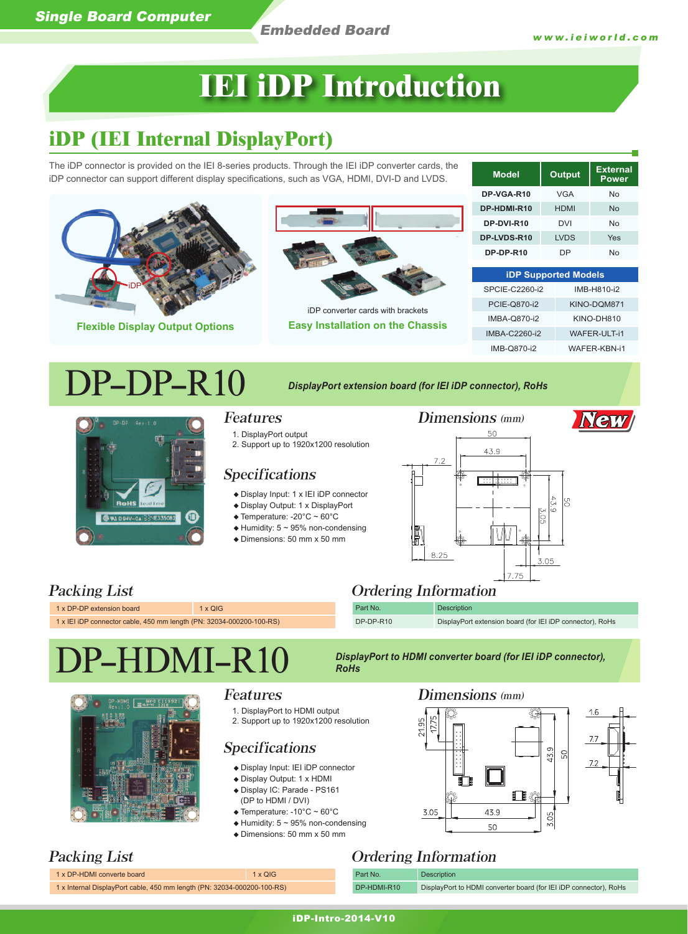**Model Output External Power**

## **IEI iDP Introduction**

## **iDP (IEI Internal DisplayPort)**

The iDP connector is provided on the IEI 8-series products. Through the IEI iDP converter cards, the iDP connector can support different display specifications, such as VGA, HDMI, DVI-D and LVDS.

|                                                                                                           |                                                                                                                                                                                                                                                                                                                         | DP-VGA-R10                                                         | <b>VGA</b>            | <b>No</b>           |  |
|-----------------------------------------------------------------------------------------------------------|-------------------------------------------------------------------------------------------------------------------------------------------------------------------------------------------------------------------------------------------------------------------------------------------------------------------------|--------------------------------------------------------------------|-----------------------|---------------------|--|
|                                                                                                           |                                                                                                                                                                                                                                                                                                                         | DP-HDMI-R10                                                        | <b>HDMI</b>           | <b>No</b>           |  |
|                                                                                                           |                                                                                                                                                                                                                                                                                                                         | DP-DVI-R10                                                         | <b>DVI</b>            | <b>No</b>           |  |
|                                                                                                           |                                                                                                                                                                                                                                                                                                                         | DP-LVDS-R10                                                        | <b>LVDS</b>           | Yes                 |  |
|                                                                                                           |                                                                                                                                                                                                                                                                                                                         | DP-DP-R10                                                          | <b>DP</b>             | <b>No</b>           |  |
|                                                                                                           |                                                                                                                                                                                                                                                                                                                         | <b>iDP Supported Models</b>                                        |                       |                     |  |
|                                                                                                           |                                                                                                                                                                                                                                                                                                                         | SPCIE-C2260-i2                                                     |                       | IMB-H810-i2         |  |
|                                                                                                           | iDP converter cards with brackets                                                                                                                                                                                                                                                                                       | PCIE-Q870-i2                                                       |                       | KINO-DQM871         |  |
| <b>Flexible Display Output Options</b>                                                                    | <b>Easy Installation on the Chassis</b>                                                                                                                                                                                                                                                                                 | <b>IMBA-Q870-i2</b>                                                | KINO-DH810            |                     |  |
|                                                                                                           |                                                                                                                                                                                                                                                                                                                         | <b>IMBA-C2260-i2</b>                                               |                       | <b>WAFER-ULT-i1</b> |  |
|                                                                                                           |                                                                                                                                                                                                                                                                                                                         | IMB-Q870-i2                                                        |                       | WAFER-KBN-i1        |  |
| DP-DP-R10                                                                                                 | DisplayPort extension board (for IEI iDP connector), RoHs                                                                                                                                                                                                                                                               |                                                                    |                       |                     |  |
| <b>Features</b><br>Rev: 1.0<br><b>RoHS</b> Lead Free<br>$\mathbf{D}$<br><b>3 PAL DISKY-0413 3-2335082</b> | 1. DisplayPort output<br>2. Support up to 1920x1200 resolution<br>7.2<br><b>Specifications</b><br>◆ Display Input: 1 x IEI iDP connector<br>♦ Display Output: 1 x DisplayPort<br>$\triangle$ Temperature: -20°C ~ 60°C<br>$\triangle$ Humidity: 5 ~ 95% non-condensing<br>$\triangle$ Dimensions: 50 mm x 50 mm<br>8.25 | Dimensions (mm)<br>50<br>43.9<br><b>Barbara</b><br>  Cxl<br>.<br>G | g<br>Ġм<br>ίo<br>3.05 |                     |  |
| Packing List                                                                                              | 7.75<br><b>Ordering Information</b>                                                                                                                                                                                                                                                                                     |                                                                    |                       |                     |  |

### Packing List 1 x DP-DP extension board 1 x QIG

1 x IEI iDP connector cable, 450 mm length (PN: 32034-000200-100-RS)

# $\textcolor{red}{\text{DMI-R10}} \quad$  *DisplayPort to HDMI converter board (for IEI iDP connector),*



## Features

1. DisplayPort to HDMI output 2. Support up to 1920x1200 resolution

## Specifications

- Display Input: IEI iDP connector
- Display Output: 1 x HDMI
- Display IC: Parade PS161 (DP to HDMI / DVI)
- Temperature: -10°C ~ 60°C
- $\triangle$  Humidity: 5 ~ 95% non-condensing
- Dimensions: 50 mm x 50 mm

1 x DP-HDMI converte board 1 x Internal DisplayPort cable, 450 mm length (PN:

Dimensions (mm)

DP-DP-R10 DisplayPort extension board (for IEI iDP connector), RoHs



## Packing List **Department** Ordering Information

Part No. Description

| 1 X QIG              |  |
|----------------------|--|
| 32034-000200-100-RS) |  |

Part No. Description DP-HDMI-R10 DisplayPort to HDMI converter board (for IEI iDP connector), RoHs